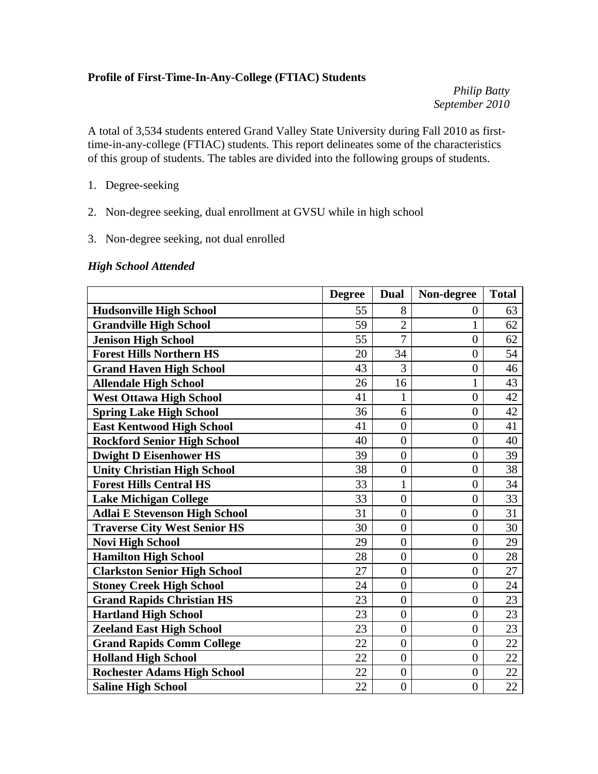#### **Profile of First-Time-In-Any-College (FTIAC) Students**

*Philip Batty September 2010* 

A total of 3,534 students entered Grand Valley State University during Fall 2010 as firsttime-in-any-college (FTIAC) students. This report delineates some of the characteristics of this group of students. The tables are divided into the following groups of students.

- 1. Degree-seeking
- 2. Non-degree seeking, dual enrollment at GVSU while in high school
- 3. Non-degree seeking, not dual enrolled

#### *High School Attended*

|                                      | <b>Degree</b> | <b>Dual</b>      | Non-degree       | <b>Total</b> |
|--------------------------------------|---------------|------------------|------------------|--------------|
| <b>Hudsonville High School</b>       | 55            | 8                | $\boldsymbol{0}$ | 63           |
| <b>Grandville High School</b>        | 59            | $\overline{2}$   | 1                | 62           |
| <b>Jenison High School</b>           | 55            | $\overline{7}$   | $\overline{0}$   | 62           |
| <b>Forest Hills Northern HS</b>      | 20            | 34               | $\overline{0}$   | 54           |
| <b>Grand Haven High School</b>       | 43            | 3                | $\overline{0}$   | 46           |
| <b>Allendale High School</b>         | 26            | 16               | $\mathbf{1}$     | 43           |
| <b>West Ottawa High School</b>       | 41            | $\mathbf{1}$     | $\overline{0}$   | 42           |
| <b>Spring Lake High School</b>       | 36            | 6                | $\overline{0}$   | 42           |
| <b>East Kentwood High School</b>     | 41            | $\overline{0}$   | $\overline{0}$   | 41           |
| <b>Rockford Senior High School</b>   | 40            | $\overline{0}$   | $\overline{0}$   | 40           |
| <b>Dwight D Eisenhower HS</b>        | 39            | $\overline{0}$   | $\overline{0}$   | 39           |
| <b>Unity Christian High School</b>   | 38            | $\overline{0}$   | $\overline{0}$   | 38           |
| <b>Forest Hills Central HS</b>       | 33            | 1                | $\overline{0}$   | 34           |
| <b>Lake Michigan College</b>         | 33            | $\overline{0}$   | $\overline{0}$   | 33           |
| <b>Adlai E Stevenson High School</b> | 31            | $\overline{0}$   | $\overline{0}$   | 31           |
| <b>Traverse City West Senior HS</b>  | 30            | $\overline{0}$   | $\overline{0}$   | 30           |
| <b>Novi High School</b>              | 29            | $\overline{0}$   | $\overline{0}$   | 29           |
| <b>Hamilton High School</b>          | 28            | $\overline{0}$   | $\overline{0}$   | 28           |
| <b>Clarkston Senior High School</b>  | 27            | $\boldsymbol{0}$ | $\boldsymbol{0}$ | 27           |
| <b>Stoney Creek High School</b>      | 24            | $\overline{0}$   | $\overline{0}$   | 24           |
| <b>Grand Rapids Christian HS</b>     | 23            | $\overline{0}$   | $\overline{0}$   | 23           |
| <b>Hartland High School</b>          | 23            | $\overline{0}$   | $\overline{0}$   | 23           |
| <b>Zeeland East High School</b>      | 23            | $\boldsymbol{0}$ | $\overline{0}$   | 23           |
| <b>Grand Rapids Comm College</b>     | 22            | $\overline{0}$   | $\overline{0}$   | 22           |
| <b>Holland High School</b>           | 22            | $\overline{0}$   | $\overline{0}$   | 22           |
| <b>Rochester Adams High School</b>   | 22            | $\overline{0}$   | $\overline{0}$   | 22           |
| <b>Saline High School</b>            | 22            | $\overline{0}$   | $\overline{0}$   | 22           |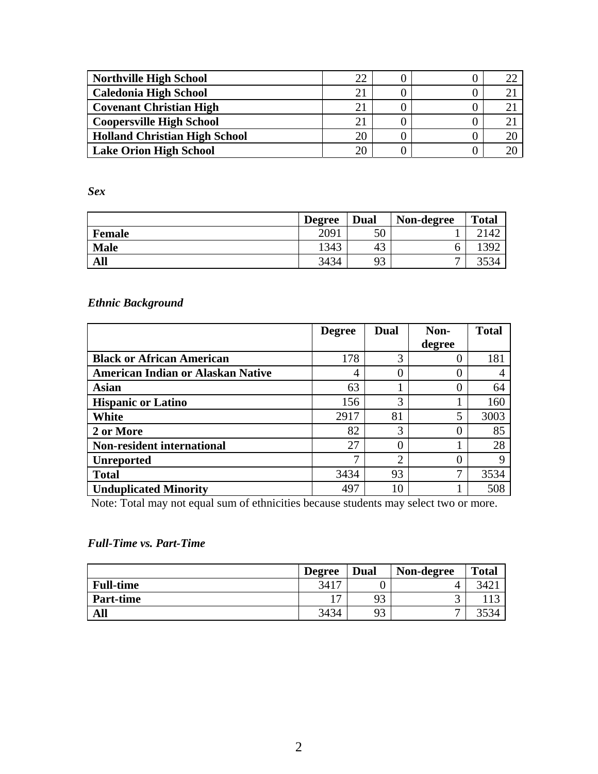| <b>Northville High School</b>        | ററ |  |  |
|--------------------------------------|----|--|--|
| <b>Caledonia High School</b>         |    |  |  |
| <b>Covenant Christian High</b>       |    |  |  |
| <b>Coopersville High School</b>      |    |  |  |
| <b>Holland Christian High School</b> |    |  |  |
| <b>Lake Orion High School</b>        |    |  |  |

*Sex* 

|               | <b>Degree</b> | Dual | Non-degree | <b>Total</b>              |
|---------------|---------------|------|------------|---------------------------|
| <b>Female</b> | 2091          | 50   |            | 2142                      |
| <b>Male</b>   | 1343          | 43   | O          | 392                       |
| All           | 3434          | 93   | –          | 252 <sub>0</sub><br>334 ل |

# *Ethnic Background*

|                                          | <b>Degree</b> | <b>Dual</b> | Non-   | <b>Total</b> |
|------------------------------------------|---------------|-------------|--------|--------------|
|                                          |               |             | degree |              |
| <b>Black or African American</b>         | 178           | 3           |        | 181          |
| <b>American Indian or Alaskan Native</b> | 4             |             |        |              |
| <b>Asian</b>                             | 63            |             | 0      | 64           |
| <b>Hispanic or Latino</b>                | 156           | 3           |        | 160          |
| White                                    | 2917          | 81          | 5      | 3003         |
| 2 or More                                | 82            | 3           |        | 85           |
| <b>Non-resident international</b>        | 27            |             |        | 28           |
| <b>Unreported</b>                        | ⇁             | ⌒           |        | 9            |
| <b>Total</b>                             | 3434          | 93          | ⇁      | 3534         |
| <b>Unduplicated Minority</b>             | 497           | 10          |        | 508          |

Note: Total may not equal sum of ethnicities because students may select two or more.

## *Full-Time vs. Part-Time*

|                  | <b>Degree</b>  | Dual | Non-degree | <b>Total</b> |
|------------------|----------------|------|------------|--------------|
| <b>Full-time</b> | 3417           |      | { 1        | 342.         |
| <b>Part-time</b> | 1 <sub>7</sub> | 93   | ັ          | 117          |
| All              | 3434           | 93   | –          |              |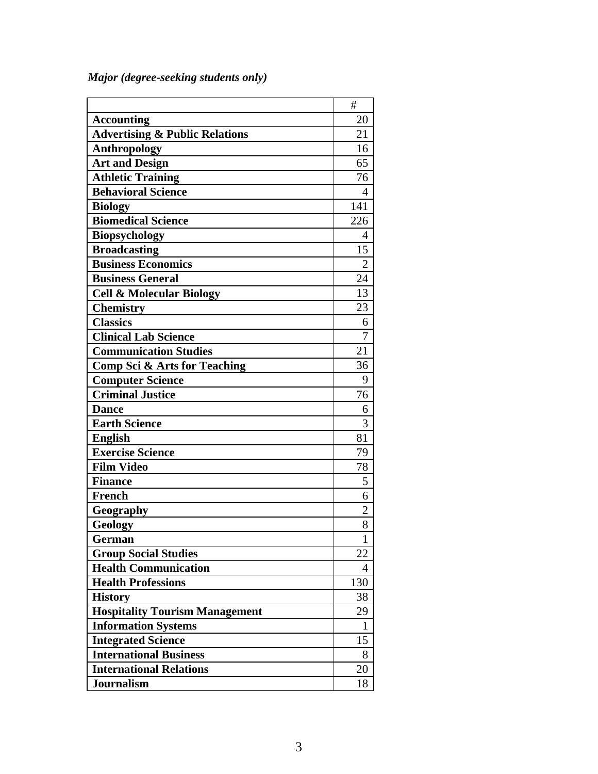*Major (degree-seeking students only)* 

|                                           | #              |
|-------------------------------------------|----------------|
| <b>Accounting</b>                         | 20             |
| <b>Advertising &amp; Public Relations</b> | 21             |
| Anthropology                              | 16             |
| <b>Art and Design</b>                     | 65             |
| <b>Athletic Training</b>                  | 76             |
| <b>Behavioral Science</b>                 | 4              |
| <b>Biology</b>                            | 141            |
| <b>Biomedical Science</b>                 | 226            |
| Biopsychology                             | 4              |
| <b>Broadcasting</b>                       | 15             |
| <b>Business Economics</b>                 | $\overline{2}$ |
| <b>Business General</b>                   | 24             |
| <b>Cell &amp; Molecular Biology</b>       | 13             |
| <b>Chemistry</b>                          | 23             |
| <b>Classics</b>                           | 6              |
| <b>Clinical Lab Science</b>               | 7              |
| <b>Communication Studies</b>              | 21             |
| <b>Comp Sci &amp; Arts for Teaching</b>   | 36             |
| <b>Computer Science</b>                   | 9              |
| <b>Criminal Justice</b>                   | 76             |
| <b>Dance</b>                              | 6              |
| <b>Earth Science</b>                      | 3              |
| <b>English</b>                            | 81             |
| <b>Exercise Science</b>                   | 79             |
| <b>Film Video</b>                         | 78             |
| <b>Finance</b>                            | 5              |
| <b>French</b>                             | 6              |
| Geography                                 | $\overline{2}$ |
| Geology                                   | 8              |
| <b>German</b>                             | $\mathbf{1}$   |
| <b>Group Social Studies</b>               | 22             |
| <b>Health Communication</b>               | 4              |
| <b>Health Professions</b>                 | 130            |
| <b>History</b>                            | 38             |
| <b>Hospitality Tourism Management</b>     | 29             |
| <b>Information Systems</b>                | 1              |
| <b>Integrated Science</b>                 | 15             |
| <b>International Business</b>             | 8              |
| <b>International Relations</b>            | 20             |
| Journalism                                | 18             |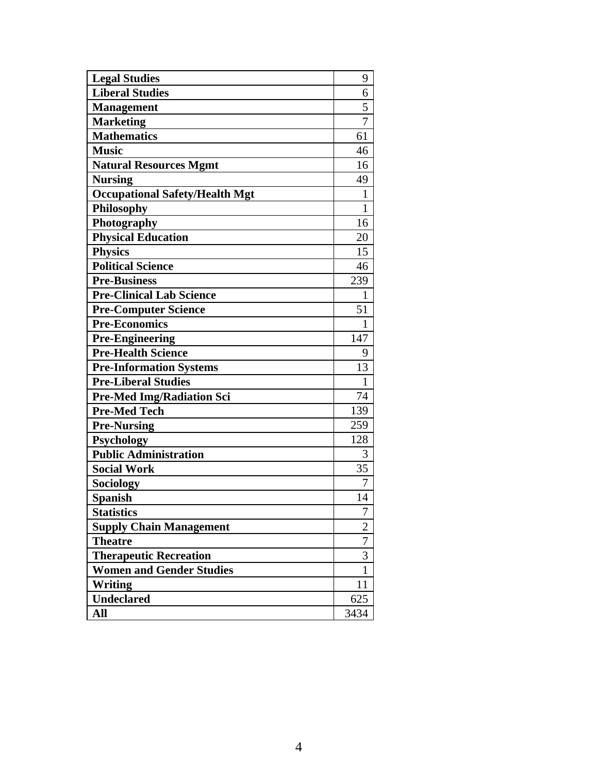| <b>Legal Studies</b>                  | 9              |
|---------------------------------------|----------------|
| <b>Liberal Studies</b>                | 6              |
| <b>Management</b>                     | 5              |
| <b>Marketing</b>                      | $\overline{7}$ |
| <b>Mathematics</b>                    | 61             |
| <b>Music</b>                          | 46             |
| <b>Natural Resources Mgmt</b>         | 16             |
| <b>Nursing</b>                        | 49             |
| <b>Occupational Safety/Health Mgt</b> | 1              |
| Philosophy                            | $\mathbf{1}$   |
| Photography                           | 16             |
| <b>Physical Education</b>             | 20             |
| <b>Physics</b>                        | 15             |
| <b>Political Science</b>              | 46             |
| <b>Pre-Business</b>                   | 239            |
| <b>Pre-Clinical Lab Science</b>       | $\mathbf{1}$   |
| <b>Pre-Computer Science</b>           | 51             |
| <b>Pre-Economics</b>                  | 1              |
| <b>Pre-Engineering</b>                | 147            |
| <b>Pre-Health Science</b>             | 9              |
| <b>Pre-Information Systems</b>        | 13             |
| <b>Pre-Liberal Studies</b>            | 1              |
| <b>Pre-Med Img/Radiation Sci</b>      | 74             |
| <b>Pre-Med Tech</b>                   | 139            |
| <b>Pre-Nursing</b>                    | 259            |
| <b>Psychology</b>                     | 128            |
| <b>Public Administration</b>          | 3              |
| <b>Social Work</b>                    | 35             |
| Sociology                             | 7              |
| <b>Spanish</b>                        | 14             |
| <b>Statistics</b>                     | 7              |
| <b>Supply Chain Management</b>        | $\overline{2}$ |
| <b>Theatre</b>                        | 7              |
| <b>Therapeutic Recreation</b>         | $\overline{3}$ |
| <b>Women and Gender Studies</b>       | $\mathbf{1}$   |
| Writing                               | 11             |
| <b>Undeclared</b>                     | 625            |
| All                                   | 3434           |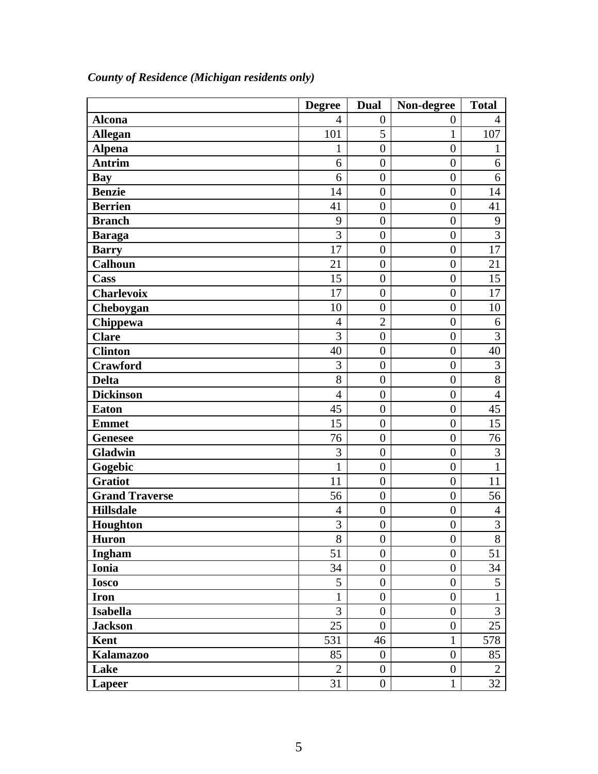|                       | <b>Degree</b>  | <b>Dual</b>      | Non-degree       | <b>Total</b>   |
|-----------------------|----------------|------------------|------------------|----------------|
| <b>Alcona</b>         | $\overline{4}$ | $\overline{0}$   | $\boldsymbol{0}$ | $\overline{4}$ |
| <b>Allegan</b>        | 101            | 5                | 1                | 107            |
| <b>Alpena</b>         | $\mathbf{1}$   | $\overline{0}$   | $\overline{0}$   | $\mathbf{1}$   |
| <b>Antrim</b>         | 6              | $\overline{0}$   | $\overline{0}$   | 6              |
| Bay                   | 6              | $\overline{0}$   | $\overline{0}$   | 6              |
| <b>Benzie</b>         | 14             | $\overline{0}$   | $\overline{0}$   | 14             |
| <b>Berrien</b>        | 41             | $\overline{0}$   | $\overline{0}$   | 41             |
| <b>Branch</b>         | 9              | $\boldsymbol{0}$ | $\overline{0}$   | 9              |
| <b>Baraga</b>         | 3              | $\overline{0}$   | $\overline{0}$   | 3              |
| <b>Barry</b>          | 17             | $\boldsymbol{0}$ | $\overline{0}$   | 17             |
| <b>Calhoun</b>        | 21             | $\overline{0}$   | $\overline{0}$   | 21             |
| Cass                  | 15             | $\overline{0}$   | $\overline{0}$   | 15             |
| <b>Charlevoix</b>     | 17             | $\overline{0}$   | $\overline{0}$   | 17             |
| Cheboygan             | 10             | $\overline{0}$   | $\overline{0}$   | 10             |
| Chippewa              | $\overline{4}$ | $\overline{2}$   | $\overline{0}$   | 6              |
| <b>Clare</b>          | $\overline{3}$ | $\overline{0}$   | $\overline{0}$   | $\overline{3}$ |
| <b>Clinton</b>        | 40             | $\overline{0}$   | $\overline{0}$   | 40             |
| <b>Crawford</b>       | 3              | $\overline{0}$   | $\overline{0}$   | 3              |
| <b>Delta</b>          | 8              | $\overline{0}$   | $\overline{0}$   | 8              |
| <b>Dickinson</b>      | $\overline{4}$ | $\overline{0}$   | $\overline{0}$   | $\overline{4}$ |
| <b>Eaton</b>          | 45             | $\overline{0}$   | $\overline{0}$   | 45             |
| <b>Emmet</b>          | 15             | $\overline{0}$   | $\overline{0}$   | 15             |
| <b>Genesee</b>        | 76             | $\boldsymbol{0}$ | $\overline{0}$   | 76             |
| Gladwin               | 3              | $\overline{0}$   | $\overline{0}$   | 3              |
| Gogebic               | $\mathbf{1}$   | $\boldsymbol{0}$ | $\overline{0}$   | $\mathbf{1}$   |
| <b>Gratiot</b>        | 11             | $\boldsymbol{0}$ | $\overline{0}$   | 11             |
| <b>Grand Traverse</b> | 56             | $\boldsymbol{0}$ | $\boldsymbol{0}$ | 56             |
| <b>Hillsdale</b>      | $\overline{4}$ | $\overline{0}$   | $\overline{0}$   | $\overline{4}$ |
| Houghton              | $\overline{3}$ | $\boldsymbol{0}$ | $\boldsymbol{0}$ | 3              |
| <b>Huron</b>          | 8              | $\boldsymbol{0}$ | $\boldsymbol{0}$ | 8              |
| Ingham                | 51             | $\boldsymbol{0}$ | $\boldsymbol{0}$ | 51             |
| Ionia                 | 34             | $\overline{0}$   | $\overline{0}$   | 34             |
| <b>Iosco</b>          | 5              | $\overline{0}$   | $\overline{0}$   | 5              |
| <b>Iron</b>           | $\mathbf{1}$   | $\overline{0}$   | $\boldsymbol{0}$ | $\mathbf{1}$   |
| <b>Isabella</b>       | 3              | $\boldsymbol{0}$ | $\boldsymbol{0}$ | 3              |
| <b>Jackson</b>        | 25             | $\boldsymbol{0}$ | $\boldsymbol{0}$ | 25             |
| Kent                  | 531            | 46               | $\mathbf{1}$     | 578            |
| <b>Kalamazoo</b>      | 85             | $\boldsymbol{0}$ | $\overline{0}$   | 85             |
| Lake                  | $\overline{2}$ | $\overline{0}$   | $\overline{0}$   | $\overline{2}$ |
| <b>Lapeer</b>         | 31             | $\boldsymbol{0}$ | $\mathbf{1}$     | 32             |

*County of Residence (Michigan residents only)*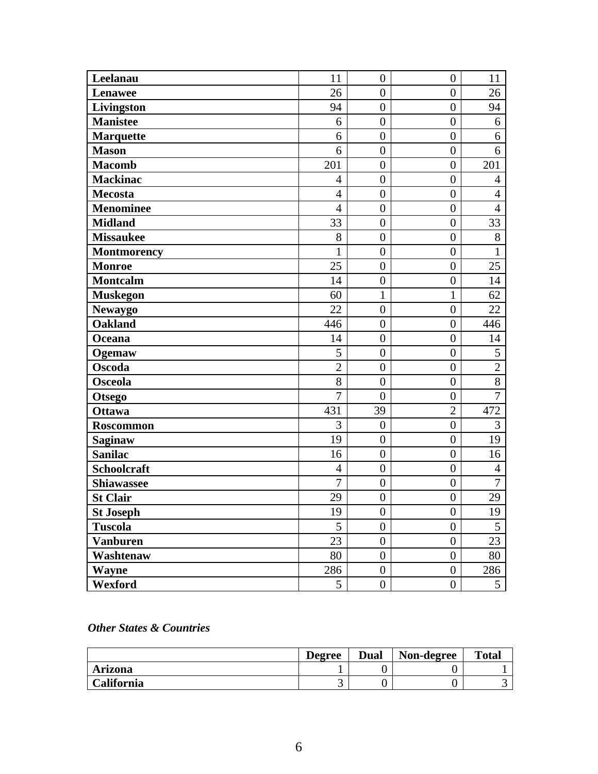| Leelanau           | 11             | $\overline{0}$   | $\overline{0}$   | 11             |
|--------------------|----------------|------------------|------------------|----------------|
| <b>Lenawee</b>     | 26             | $\boldsymbol{0}$ | $\boldsymbol{0}$ | 26             |
| Livingston         | 94             | $\overline{0}$   | $\boldsymbol{0}$ | 94             |
| <b>Manistee</b>    | 6              | $\boldsymbol{0}$ | $\boldsymbol{0}$ | 6              |
| <b>Marquette</b>   | 6              | $\boldsymbol{0}$ | $\boldsymbol{0}$ | 6              |
| <b>Mason</b>       | 6              | $\boldsymbol{0}$ | $\boldsymbol{0}$ | 6              |
| <b>Macomb</b>      | 201            | $\boldsymbol{0}$ | $\boldsymbol{0}$ | 201            |
| <b>Mackinac</b>    | 4              | $\overline{0}$   | $\overline{0}$   | $\overline{4}$ |
| <b>Mecosta</b>     | $\overline{4}$ | $\boldsymbol{0}$ | $\overline{0}$   | $\overline{4}$ |
| <b>Menominee</b>   | $\overline{4}$ | $\boldsymbol{0}$ | $\overline{0}$   | $\overline{4}$ |
| <b>Midland</b>     | 33             | $\boldsymbol{0}$ | $\boldsymbol{0}$ | 33             |
| <b>Missaukee</b>   | 8              | $\overline{0}$   | $\overline{0}$   | 8              |
| <b>Montmorency</b> | $\mathbf{1}$   | $\overline{0}$   | $\boldsymbol{0}$ | 1              |
| <b>Monroe</b>      | 25             | $\overline{0}$   | $\overline{0}$   | 25             |
| <b>Montcalm</b>    | 14             | $\boldsymbol{0}$ | $\boldsymbol{0}$ | 14             |
| <b>Muskegon</b>    | 60             | $\mathbf{1}$     | $\mathbf{1}$     | 62             |
| <b>Newaygo</b>     | 22             | $\boldsymbol{0}$ | $\overline{0}$   | 22             |
| <b>Oakland</b>     | 446            | $\boldsymbol{0}$ | $\overline{0}$   | 446            |
| Oceana             | 14             | $\boldsymbol{0}$ | $\boldsymbol{0}$ | 14             |
| Ogemaw             | 5              | $\boldsymbol{0}$ | $\boldsymbol{0}$ | 5              |
| <b>Oscoda</b>      | $\overline{2}$ | $\overline{0}$   | $\overline{0}$   | $\overline{2}$ |
| <b>Osceola</b>     | 8              | $\boldsymbol{0}$ | $\boldsymbol{0}$ | $\overline{8}$ |
| <b>Otsego</b>      | $\overline{7}$ | $\overline{0}$   | $\overline{0}$   | $\overline{7}$ |
| <b>Ottawa</b>      | 431            | 39               | $\overline{2}$   | 472            |
| <b>Roscommon</b>   | 3              | $\boldsymbol{0}$ | $\overline{0}$   | 3              |
| <b>Saginaw</b>     | 19             | $\boldsymbol{0}$ | $\overline{0}$   | 19             |
| <b>Sanilac</b>     | 16             | $\boldsymbol{0}$ | $\overline{0}$   | 16             |
| Schoolcraft        | 4              | $\boldsymbol{0}$ | $\boldsymbol{0}$ | $\overline{4}$ |
| <b>Shiawassee</b>  | $\overline{7}$ | $\overline{0}$   | $\boldsymbol{0}$ | $\overline{7}$ |
| <b>St Clair</b>    | 29             | $\boldsymbol{0}$ | $\overline{0}$   | 29             |
| <b>St Joseph</b>   | 19             | $\boldsymbol{0}$ | $\boldsymbol{0}$ | 19             |
| <b>Tuscola</b>     | 5              | $\boldsymbol{0}$ | $\boldsymbol{0}$ | 5              |
| <b>Vanburen</b>    | 23             | $\boldsymbol{0}$ | $\boldsymbol{0}$ | 23             |
| Washtenaw          | 80             | $\boldsymbol{0}$ | $\boldsymbol{0}$ | 80             |
| Wayne              | 286            | $\boldsymbol{0}$ | $\boldsymbol{0}$ | 286            |
| Wexford            | 5              | $\boldsymbol{0}$ | $\boldsymbol{0}$ | 5              |

## *Other States & Countries*

|            | <b>Degree</b> | <b>Dual</b> | Non-degree | <b>Total</b> |
|------------|---------------|-------------|------------|--------------|
| Arizona    |               |             |            |              |
| California | ັ             |             |            |              |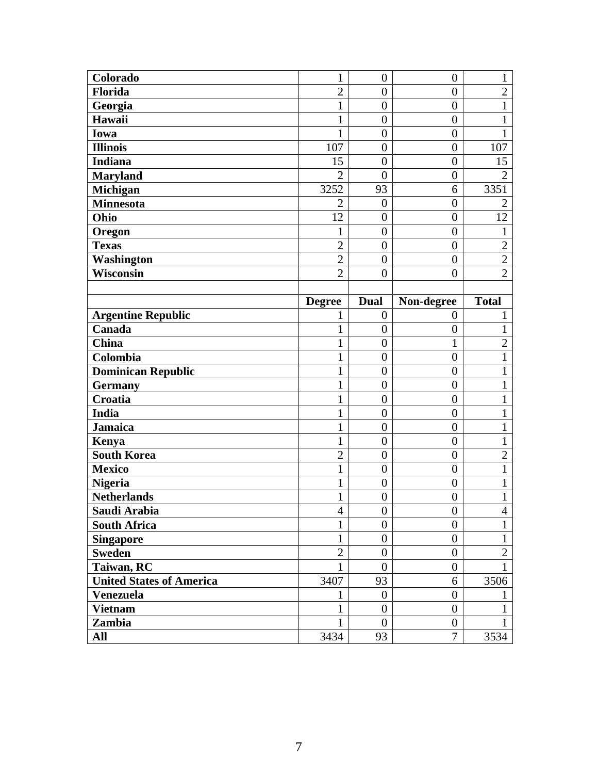| Colorado                        | 1              | $\overline{0}$         | $\overline{0}$             | 1              |
|---------------------------------|----------------|------------------------|----------------------------|----------------|
| Florida                         | $\overline{2}$ | $\boldsymbol{0}$       | $\boldsymbol{0}$           | $\overline{2}$ |
| Georgia                         | $\mathbf 1$    | $\boldsymbol{0}$       | $\boldsymbol{0}$           | 1              |
| Hawaii                          | 1              | $\overline{0}$         | $\boldsymbol{0}$           | $\mathbf{1}$   |
| Iowa                            | $\mathbf{1}$   | $\overline{0}$         | $\overline{0}$             | 1              |
| <b>Illinois</b>                 | 107            | $\overline{0}$         | $\boldsymbol{0}$           | 107            |
| <b>Indiana</b>                  | 15             | $\boldsymbol{0}$       | $\overline{0}$             | 15             |
| <b>Maryland</b>                 | $\overline{2}$ | $\overline{0}$         | $\boldsymbol{0}$           | $\overline{2}$ |
| Michigan                        | 3252           | 93                     | 6                          | 3351           |
| <b>Minnesota</b>                | $\overline{2}$ | $\overline{0}$         | $\boldsymbol{0}$           | $\overline{2}$ |
| Ohio                            | 12             | $\overline{0}$         | $\overline{0}$             | 12             |
| Oregon                          | 1              | $\overline{0}$         | $\boldsymbol{0}$           | 1              |
| <b>Texas</b>                    | $\overline{c}$ | $\boldsymbol{0}$       | $\boldsymbol{0}$           | $\overline{2}$ |
| <b>Washington</b>               | $\overline{2}$ | $\boldsymbol{0}$       | $\boldsymbol{0}$           | $\overline{2}$ |
| Wisconsin                       | $\overline{2}$ | $\overline{0}$         | $\overline{0}$             | $\overline{2}$ |
|                                 |                |                        |                            |                |
|                                 | <b>Degree</b>  | <b>Dual</b>            | Non-degree                 | <b>Total</b>   |
| <b>Argentine Republic</b>       | 1              | $\boldsymbol{0}$       | $\boldsymbol{0}$           | 1              |
| Canada                          | $\mathbf{1}$   | $\boldsymbol{0}$       | $\boldsymbol{0}$           | $\mathbf{1}$   |
| <b>China</b>                    | $\mathbf 1$    | $\overline{0}$         | $\mathbf{1}$               | $\overline{2}$ |
| Colombia                        | $\mathbf{1}$   | $\boldsymbol{0}$       | $\boldsymbol{0}$           | $\mathbf{1}$   |
| <b>Dominican Republic</b>       | $\mathbf{1}$   | $\overline{0}$         | $\overline{0}$             | 1              |
| <b>Germany</b>                  | $\mathbf{1}$   | $\boldsymbol{0}$       | $\boldsymbol{0}$           | 1              |
| Croatia                         | $\mathbf{1}$   | $\boldsymbol{0}$       | $\boldsymbol{0}$           | 1              |
| <b>India</b>                    | $\mathbf{1}$   | $\overline{0}$         | $\boldsymbol{0}$           | 1              |
| <b>Jamaica</b>                  | $\mathbf{1}$   | $\boldsymbol{0}$       | $\boldsymbol{0}$           | 1              |
| Kenya                           | $\mathbf{1}$   | $\boldsymbol{0}$       | $\boldsymbol{0}$           | 1              |
| <b>South Korea</b>              | $\overline{2}$ | $\boldsymbol{0}$       | $\overline{0}$             | $\overline{2}$ |
| <b>Mexico</b>                   | $\mathbf{1}$   | $\boldsymbol{0}$       | $\boldsymbol{0}$           | 1              |
| <b>Nigeria</b>                  | $\mathbf{1}$   | $\boldsymbol{0}$       | $\boldsymbol{0}$           | 1              |
| <b>Netherlands</b>              | $\mathbf{1}$   | $\overline{0}$         | $\overline{0}$             | $\mathbf{1}$   |
| Saudi Arabia                    | 4              | $\boldsymbol{0}$       | $\boldsymbol{0}$           | $\overline{4}$ |
| <b>South Africa</b>             | $\mathbf{1}$   | $\overline{0}$         | $\boldsymbol{0}$           | $\mathbf{1}$   |
| <b>Singapore</b>                | $\mathbf{1}$   | $\boldsymbol{0}$       | $\boldsymbol{0}$           | $\mathbf{1}$   |
| <b>Sweden</b>                   | $\overline{2}$ | $\boldsymbol{0}$       | $\boldsymbol{0}$           | $\overline{2}$ |
| Taiwan, RC                      | $\mathbf{1}$   | $\boldsymbol{0}$       | $\boldsymbol{0}$           | 1              |
| <b>United States of America</b> | 3407           | 93                     | 6                          | 3506           |
| <b>Venezuela</b>                | 1              | $\boldsymbol{0}$       | $\boldsymbol{0}$           | 1              |
| <b>Vietnam</b>                  | $\mathbf{1}$   | $\boldsymbol{0}$       | $\boldsymbol{0}$           | 1              |
|                                 |                |                        |                            |                |
| Zambia<br>All                   | 1<br>3434      | $\boldsymbol{0}$<br>93 | $\boldsymbol{0}$<br>$\tau$ | 1<br>3534      |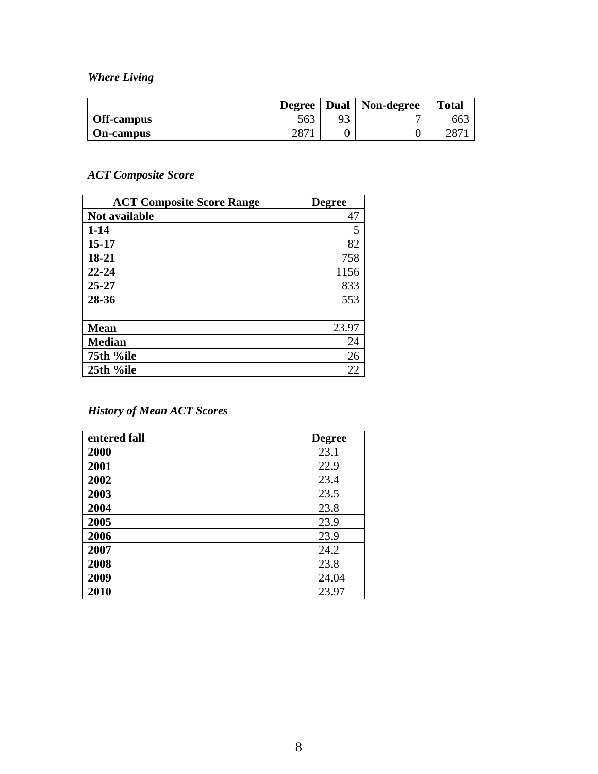*Where Living* 

|                   | <b>Degree</b> | Dual | Non-degree | <b>Total</b> |
|-------------------|---------------|------|------------|--------------|
| <b>Off-campus</b> | 563           | 93   | –          | 663          |
| <b>On-campus</b>  | າດາ           |      |            | $\cap$       |

# *ACT Composite Score*

| <b>ACT Composite Score Range</b> | <b>Degree</b> |
|----------------------------------|---------------|
| Not available                    | 47            |
| $1 - 14$                         | 5             |
| $15 - 17$                        | 82            |
| 18-21                            | 758           |
| $22 - 24$                        | 1156          |
| $25 - 27$                        | 833           |
| 28-36                            | 553           |
|                                  |               |
| <b>Mean</b>                      | 23.97         |
| <b>Median</b>                    | 24            |
| 75th %ile                        | 26            |
| 25th %ile                        | 22            |

# *History of Mean ACT Scores*

| entered fall | <b>Degree</b> |
|--------------|---------------|
| 2000         | 23.1          |
| 2001         | 22.9          |
| 2002         | 23.4          |
| 2003         | 23.5          |
| 2004         | 23.8          |
| 2005         | 23.9          |
| 2006         | 23.9          |
| 2007         | 24.2          |
| 2008         | 23.8          |
| 2009         | 24.04         |
| 2010         | 23.97         |